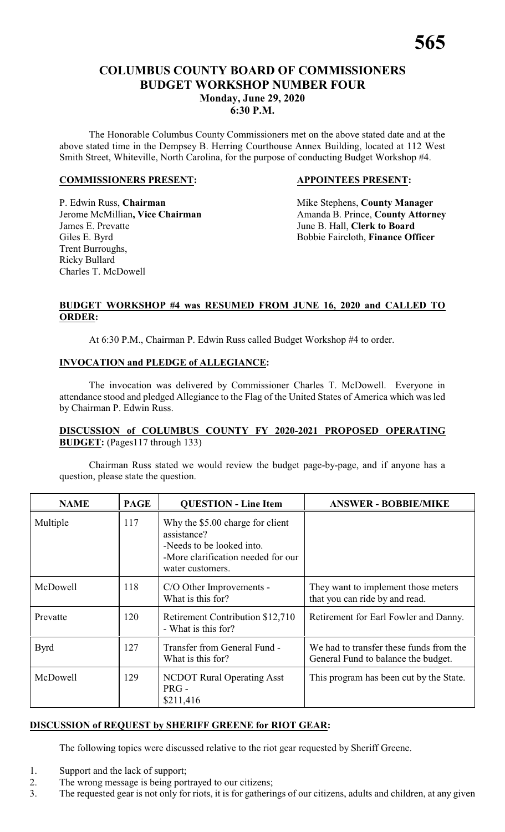## **COLUMBUS COUNTY BOARD OF COMMISSIONERS BUDGET WORKSHOP NUMBER FOUR Monday, June 29, 2020 6:30 P.M.**

The Honorable Columbus County Commissioners met on the above stated date and at the above stated time in the Dempsey B. Herring Courthouse Annex Building, located at 112 West Smith Street, Whiteville, North Carolina, for the purpose of conducting Budget Workshop #4.

#### **COMMISSIONERS PRESENT: APPOINTEES PRESENT:**

P. Edwin Russ, **Chairman** Mike Stephens, **County Manager** James E. Prevatte **June B. Hall, Clerk to Board** Giles E. Byrd Bobbie Faircloth, **Finance Officer** Trent Burroughs, Ricky Bullard Charles T. McDowell

Jerome McMillian, Vice Chairman Amanda B. Prince, County Attorney

#### **BUDGET WORKSHOP #4 was RESUMED FROM JUNE 16, 2020 and CALLED TO ORDER:**

At 6:30 P.M., Chairman P. Edwin Russ called Budget Workshop #4 to order.

#### **INVOCATION and PLEDGE of ALLEGIANCE:**

The invocation was delivered by Commissioner Charles T. McDowell. Everyone in attendance stood and pledged Allegiance to the Flag of the United States of America which was led by Chairman P. Edwin Russ.

#### **DISCUSSION of COLUMBUS COUNTY FY 2020-2021 PROPOSED OPERATING BUDGET:** (Pages117 through 133)

Chairman Russ stated we would review the budget page-by-page, and if anyone has a question, please state the question.

| <b>NAME</b> | <b>PAGE</b> | <b>QUESTION - Line Item</b>                                                                                                            | <b>ANSWER - BOBBIE/MIKE</b>                                                    |
|-------------|-------------|----------------------------------------------------------------------------------------------------------------------------------------|--------------------------------------------------------------------------------|
| Multiple    | 117         | Why the \$5.00 charge for client<br>assistance?<br>-Needs to be looked into.<br>-More clarification needed for our<br>water customers. |                                                                                |
| McDowell    | 118         | C/O Other Improvements -<br>What is this for?                                                                                          | They want to implement those meters<br>that you can ride by and read.          |
| Prevatte    | 120         | Retirement Contribution \$12,710<br>- What is this for?                                                                                | Retirement for Earl Fowler and Danny.                                          |
| <b>Byrd</b> | 127         | Transfer from General Fund -<br>What is this for?                                                                                      | We had to transfer these funds from the<br>General Fund to balance the budget. |
| McDowell    | 129         | <b>NCDOT Rural Operating Asst</b><br>PRG-<br>\$211,416                                                                                 | This program has been cut by the State.                                        |

### **DISCUSSION of REQUEST by SHERIFF GREENE for RIOT GEAR:**

The following topics were discussed relative to the riot gear requested by Sheriff Greene.

- 1. Support and the lack of support;
- 2. The wrong message is being portrayed to our citizens;
- 3. The requested gear is not only for riots, it is for gatherings of our citizens, adults and children, at any given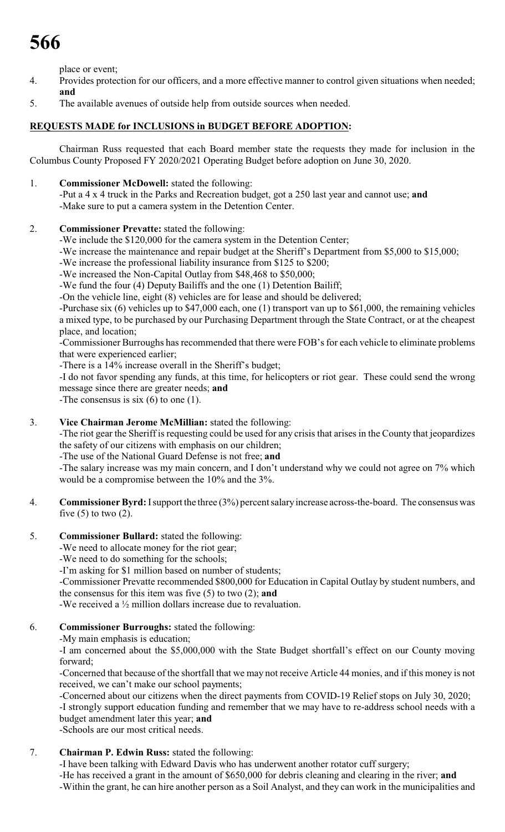# **566**

place or event;

- 4. Provides protection for our officers, and a more effective manner to control given situations when needed; **and**
- 5. The available avenues of outside help from outside sources when needed.

### **REQUESTS MADE for INCLUSIONS in BUDGET BEFORE ADOPTION:**

Chairman Russ requested that each Board member state the requests they made for inclusion in the Columbus County Proposed FY 2020/2021 Operating Budget before adoption on June 30, 2020.

1. **Commissioner McDowell:** stated the following:

-Put a 4 x 4 truck in the Parks and Recreation budget, got a 250 last year and cannot use; **and** -Make sure to put a camera system in the Detention Center.

2. **Commissioner Prevatte:** stated the following:

-We include the \$120,000 for the camera system in the Detention Center;

-We increase the maintenance and repair budget at the Sheriff's Department from \$5,000 to \$15,000;

-We increase the professional liability insurance from \$125 to \$200;

-We increased the Non-Capital Outlay from \$48,468 to \$50,000;

-We fund the four (4) Deputy Bailiffs and the one (1) Detention Bailiff;

-On the vehicle line, eight (8) vehicles are for lease and should be delivered;

-Purchase six (6) vehicles up to \$47,000 each, one (1) transport van up to \$61,000, the remaining vehicles a mixed type, to be purchased by our Purchasing Department through the State Contract, or at the cheapest place, and location;

-Commissioner Burroughs has recommended that there were FOB's for each vehicle to eliminate problems that were experienced earlier;

-There is a 14% increase overall in the Sheriff's budget;

-I do not favor spending any funds, at this time, for helicopters or riot gear. These could send the wrong message since there are greater needs; **and**

-The consensus is six (6) to one (1).

### 3. **Vice Chairman Jerome McMillian:** stated the following:

-The riot gear the Sheriff is requesting could be used for any crisis that arises in the County that jeopardizes the safety of our citizens with emphasis on our children;

-The use of the National Guard Defense is not free; **and**

-The salary increase was my main concern, and I don't understand why we could not agree on 7% which would be a compromise between the 10% and the 3%.

- 4. **Commissioner Byrd:**Isupport the three (3%) percent salaryincrease across-the-board. The consensus was five  $(5)$  to two  $(2)$ .
- 5. **Commissioner Bullard:** stated the following:

-We need to allocate money for the riot gear;

-We need to do something for the schools;

-I'm asking for \$1 million based on number of students;

-Commissioner Prevatte recommended \$800,000 for Education in Capital Outlay by student numbers, and the consensus for this item was five (5) to two (2); **and**

-We received a ½ million dollars increase due to revaluation.

#### 6. **Commissioner Burroughs:** stated the following:

-My main emphasis is education;

-I am concerned about the \$5,000,000 with the State Budget shortfall's effect on our County moving forward;

-Concerned that because of the shortfall that we may not receive Article 44 monies, and if this money is not received, we can't make our school payments;

-Concerned about our citizens when the direct payments from COVID-19 Relief stops on July 30, 2020; -I strongly support education funding and remember that we may have to re-address school needs with a budget amendment later this year; **and**

-Schools are our most critical needs.

# 7. **Chairman P. Edwin Russ:** stated the following:

-I have been talking with Edward Davis who has underwent another rotator cuff surgery;

-He has received a grant in the amount of \$650,000 for debris cleaning and clearing in the river; **and** -Within the grant, he can hire another person as a Soil Analyst, and they can work in the municipalities and